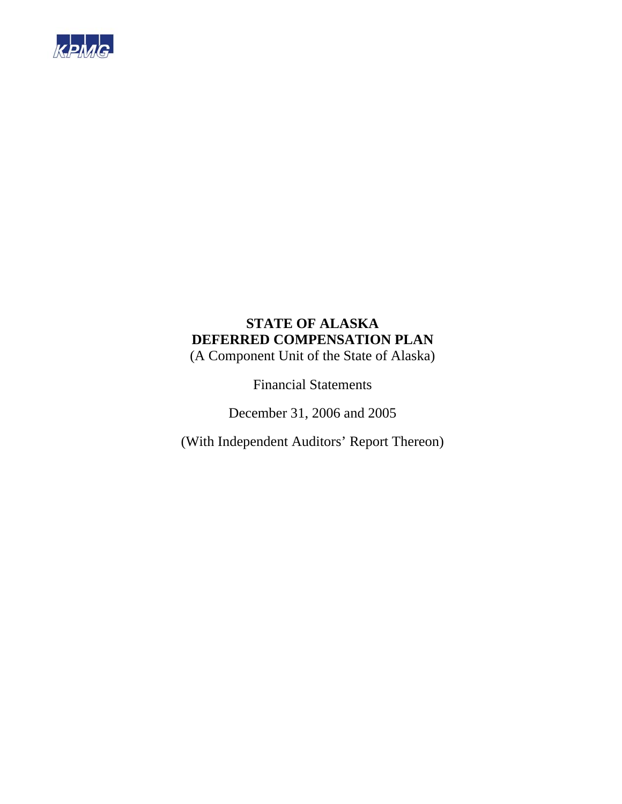

(A Component Unit of the State of Alaska)

Financial Statements

December 31, 2006 and 2005

(With Independent Auditors' Report Thereon)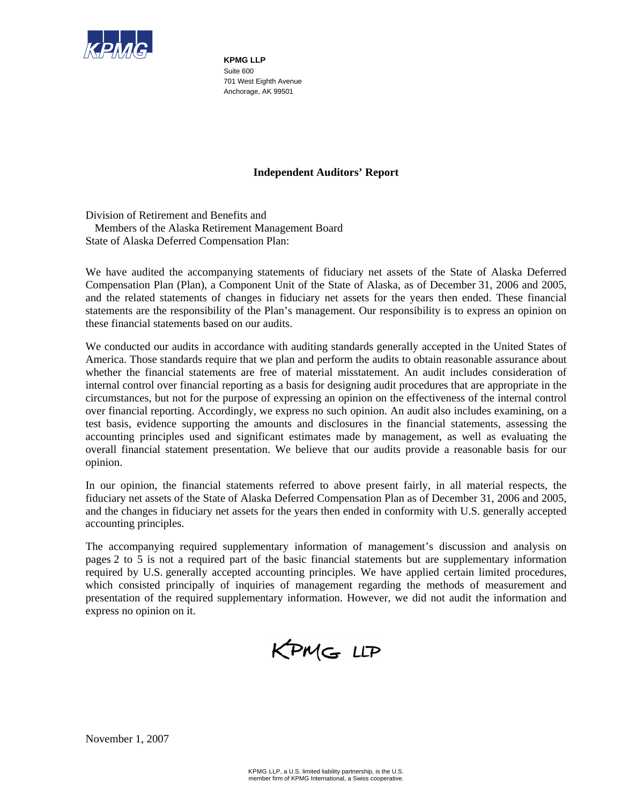

**KPMG LLP**  Suite 600 701 West Eighth Avenue Anchorage, AK 99501

# **Independent Auditors' Report**

Division of Retirement and Benefits and Members of the Alaska Retirement Management Board State of Alaska Deferred Compensation Plan:

We have audited the accompanying statements of fiduciary net assets of the State of Alaska Deferred Compensation Plan (Plan), a Component Unit of the State of Alaska, as of December 31, 2006 and 2005, and the related statements of changes in fiduciary net assets for the years then ended. These financial statements are the responsibility of the Plan's management. Our responsibility is to express an opinion on these financial statements based on our audits.

We conducted our audits in accordance with auditing standards generally accepted in the United States of America. Those standards require that we plan and perform the audits to obtain reasonable assurance about whether the financial statements are free of material misstatement. An audit includes consideration of internal control over financial reporting as a basis for designing audit procedures that are appropriate in the circumstances, but not for the purpose of expressing an opinion on the effectiveness of the internal control over financial reporting. Accordingly, we express no such opinion. An audit also includes examining, on a test basis, evidence supporting the amounts and disclosures in the financial statements, assessing the accounting principles used and significant estimates made by management, as well as evaluating the overall financial statement presentation. We believe that our audits provide a reasonable basis for our opinion.

In our opinion, the financial statements referred to above present fairly, in all material respects, the fiduciary net assets of the State of Alaska Deferred Compensation Plan as of December 31, 2006 and 2005, and the changes in fiduciary net assets for the years then ended in conformity with U.S. generally accepted accounting principles.

The accompanying required supplementary information of management's discussion and analysis on pages 2 to 5 is not a required part of the basic financial statements but are supplementary information required by U.S. generally accepted accounting principles. We have applied certain limited procedures, which consisted principally of inquiries of management regarding the methods of measurement and presentation of the required supplementary information. However, we did not audit the information and express no opinion on it.

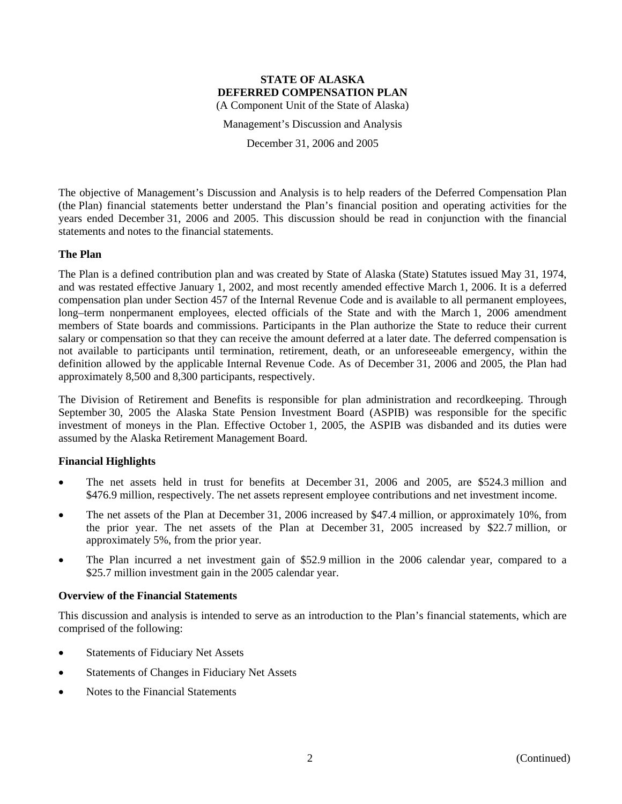Management's Discussion and Analysis

December 31, 2006 and 2005

The objective of Management's Discussion and Analysis is to help readers of the Deferred Compensation Plan (the Plan) financial statements better understand the Plan's financial position and operating activities for the years ended December 31, 2006 and 2005. This discussion should be read in conjunction with the financial statements and notes to the financial statements.

# **The Plan**

The Plan is a defined contribution plan and was created by State of Alaska (State) Statutes issued May 31, 1974, and was restated effective January 1, 2002, and most recently amended effective March 1, 2006. It is a deferred compensation plan under Section 457 of the Internal Revenue Code and is available to all permanent employees, long–term nonpermanent employees, elected officials of the State and with the March 1, 2006 amendment members of State boards and commissions. Participants in the Plan authorize the State to reduce their current salary or compensation so that they can receive the amount deferred at a later date. The deferred compensation is not available to participants until termination, retirement, death, or an unforeseeable emergency, within the definition allowed by the applicable Internal Revenue Code. As of December 31, 2006 and 2005, the Plan had approximately 8,500 and 8,300 participants, respectively.

The Division of Retirement and Benefits is responsible for plan administration and recordkeeping. Through September 30, 2005 the Alaska State Pension Investment Board (ASPIB) was responsible for the specific investment of moneys in the Plan. Effective October 1, 2005, the ASPIB was disbanded and its duties were assumed by the Alaska Retirement Management Board.

# **Financial Highlights**

- The net assets held in trust for benefits at December 31, 2006 and 2005, are \$524.3 million and \$476.9 million, respectively. The net assets represent employee contributions and net investment income.
- The net assets of the Plan at December 31, 2006 increased by \$47.4 million, or approximately 10%, from the prior year. The net assets of the Plan at December 31, 2005 increased by \$22.7 million, or approximately 5%, from the prior year.
- The Plan incurred a net investment gain of \$52.9 million in the 2006 calendar year, compared to a \$25.7 million investment gain in the 2005 calendar year.

# **Overview of the Financial Statements**

This discussion and analysis is intended to serve as an introduction to the Plan's financial statements, which are comprised of the following:

- Statements of Fiduciary Net Assets
- Statements of Changes in Fiduciary Net Assets
- Notes to the Financial Statements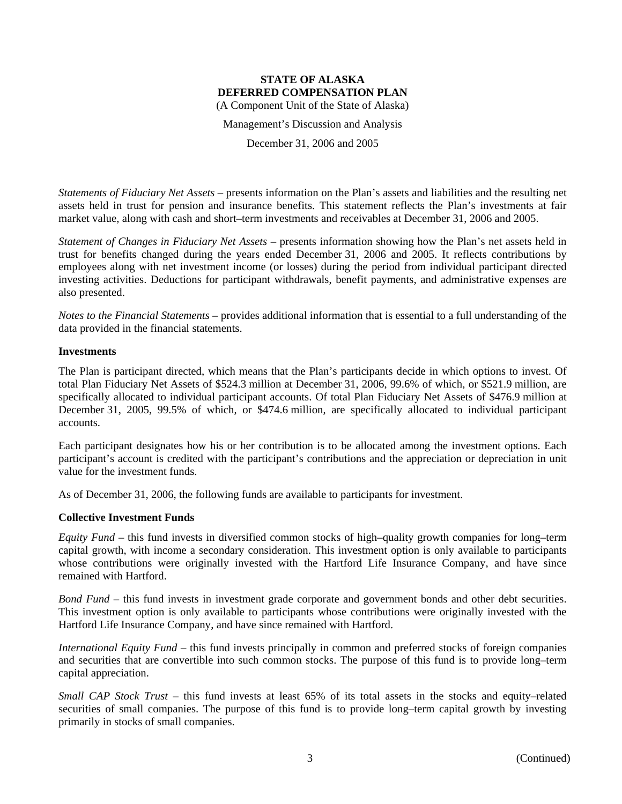Management's Discussion and Analysis

December 31, 2006 and 2005

*Statements of Fiduciary Net Assets* – presents information on the Plan's assets and liabilities and the resulting net assets held in trust for pension and insurance benefits. This statement reflects the Plan's investments at fair market value, along with cash and short–term investments and receivables at December 31, 2006 and 2005.

*Statement of Changes in Fiduciary Net Assets* – presents information showing how the Plan's net assets held in trust for benefits changed during the years ended December 31, 2006 and 2005. It reflects contributions by employees along with net investment income (or losses) during the period from individual participant directed investing activities. Deductions for participant withdrawals, benefit payments, and administrative expenses are also presented.

*Notes to the Financial Statements* – provides additional information that is essential to a full understanding of the data provided in the financial statements.

# **Investments**

The Plan is participant directed, which means that the Plan's participants decide in which options to invest. Of total Plan Fiduciary Net Assets of \$524.3 million at December 31, 2006, 99.6% of which, or \$521.9 million, are specifically allocated to individual participant accounts. Of total Plan Fiduciary Net Assets of \$476.9 million at December 31, 2005, 99.5% of which, or \$474.6 million, are specifically allocated to individual participant accounts.

Each participant designates how his or her contribution is to be allocated among the investment options. Each participant's account is credited with the participant's contributions and the appreciation or depreciation in unit value for the investment funds.

As of December 31, 2006, the following funds are available to participants for investment.

# **Collective Investment Funds**

*Equity Fund* – this fund invests in diversified common stocks of high–quality growth companies for long–term capital growth, with income a secondary consideration. This investment option is only available to participants whose contributions were originally invested with the Hartford Life Insurance Company, and have since remained with Hartford.

*Bond Fund* – this fund invests in investment grade corporate and government bonds and other debt securities. This investment option is only available to participants whose contributions were originally invested with the Hartford Life Insurance Company, and have since remained with Hartford.

*International Equity Fund* – this fund invests principally in common and preferred stocks of foreign companies and securities that are convertible into such common stocks. The purpose of this fund is to provide long–term capital appreciation.

*Small CAP Stock Trust* – this fund invests at least 65% of its total assets in the stocks and equity–related securities of small companies. The purpose of this fund is to provide long–term capital growth by investing primarily in stocks of small companies.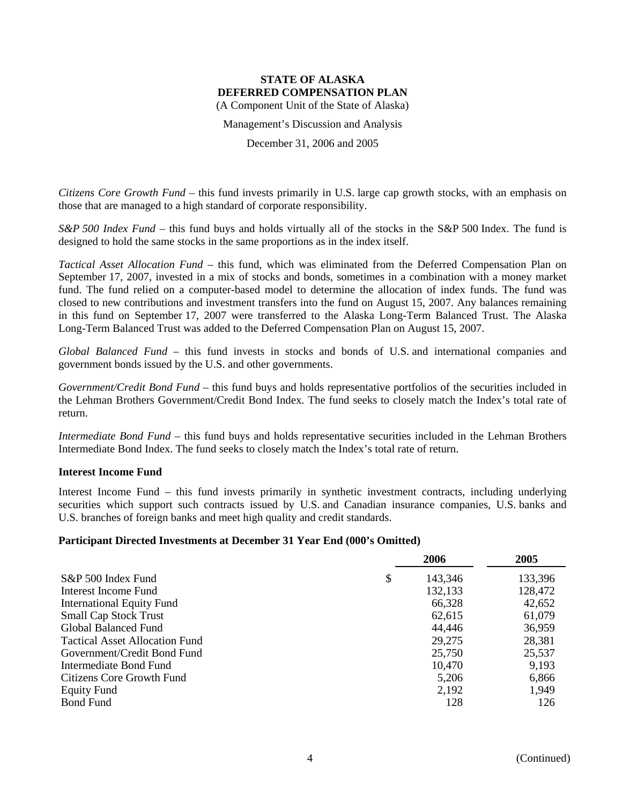Management's Discussion and Analysis

December 31, 2006 and 2005

*Citizens Core Growth Fund* – this fund invests primarily in U.S. large cap growth stocks, with an emphasis on those that are managed to a high standard of corporate responsibility.

*S&P 500 Index Fund* – this fund buys and holds virtually all of the stocks in the S&P 500 Index. The fund is designed to hold the same stocks in the same proportions as in the index itself.

*Tactical Asset Allocation Fund* – this fund, which was eliminated from the Deferred Compensation Plan on September 17, 2007, invested in a mix of stocks and bonds, sometimes in a combination with a money market fund. The fund relied on a computer-based model to determine the allocation of index funds. The fund was closed to new contributions and investment transfers into the fund on August 15, 2007. Any balances remaining in this fund on September 17, 2007 were transferred to the Alaska Long-Term Balanced Trust. The Alaska Long-Term Balanced Trust was added to the Deferred Compensation Plan on August 15, 2007.

*Global Balanced Fund* – this fund invests in stocks and bonds of U.S. and international companies and government bonds issued by the U.S. and other governments.

*Government/Credit Bond Fund* – this fund buys and holds representative portfolios of the securities included in the Lehman Brothers Government/Credit Bond Index. The fund seeks to closely match the Index's total rate of return.

*Intermediate Bond Fund* – this fund buys and holds representative securities included in the Lehman Brothers Intermediate Bond Index. The fund seeks to closely match the Index's total rate of return.

#### **Interest Income Fund**

Interest Income Fund – this fund invests primarily in synthetic investment contracts, including underlying securities which support such contracts issued by U.S. and Canadian insurance companies, U.S. banks and U.S. branches of foreign banks and meet high quality and credit standards.

#### **Participant Directed Investments at December 31 Year End (000's Omitted)**

|                                       | 2006    | 2005    |
|---------------------------------------|---------|---------|
| \$<br>S&P 500 Index Fund              | 143,346 | 133,396 |
| Interest Income Fund                  | 132,133 | 128,472 |
| <b>International Equity Fund</b>      | 66,328  | 42,652  |
| <b>Small Cap Stock Trust</b>          | 62,615  | 61,079  |
| Global Balanced Fund                  | 44,446  | 36,959  |
| <b>Tactical Asset Allocation Fund</b> | 29,275  | 28,381  |
| Government/Credit Bond Fund           | 25,750  | 25,537  |
| Intermediate Bond Fund                | 10,470  | 9,193   |
| Citizens Core Growth Fund             | 5,206   | 6,866   |
| <b>Equity Fund</b>                    | 2,192   | 1,949   |
| <b>Bond Fund</b>                      | 128     | 126     |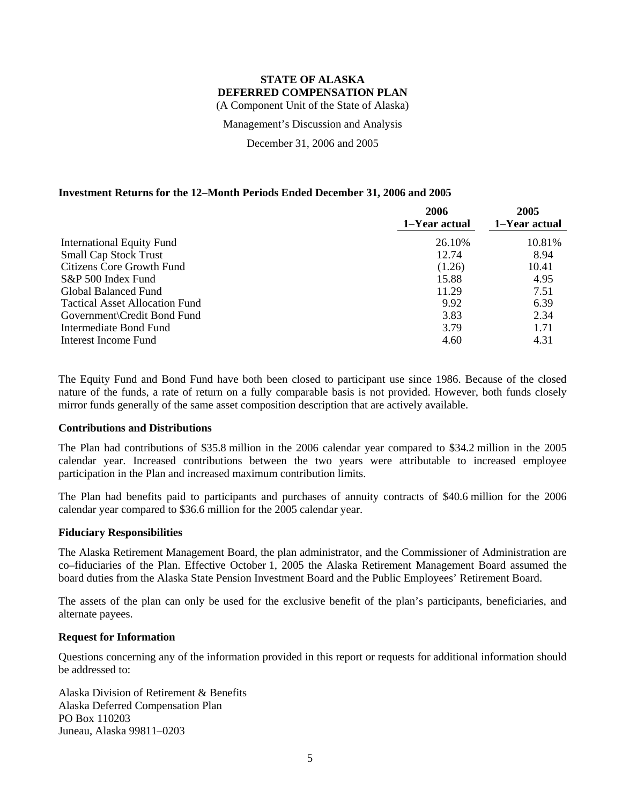Management's Discussion and Analysis

December 31, 2006 and 2005

# **Investment Returns for the 12–Month Periods Ended December 31, 2006 and 2005**

|                                       | 2006<br>1-Year actual | 2005<br>1-Year actual |
|---------------------------------------|-----------------------|-----------------------|
| <b>International Equity Fund</b>      | 26.10%                | 10.81%                |
| <b>Small Cap Stock Trust</b>          | 12.74                 | 8.94                  |
| Citizens Core Growth Fund             | (1.26)                | 10.41                 |
| S&P 500 Index Fund                    | 15.88                 | 4.95                  |
| Global Balanced Fund                  | 11.29                 | 7.51                  |
| <b>Tactical Asset Allocation Fund</b> | 9.92                  | 6.39                  |
| Government\Credit Bond Fund           | 3.83                  | 2.34                  |
| Intermediate Bond Fund                | 3.79                  | 1.71                  |
| Interest Income Fund                  | 4.60                  | 4.31                  |

The Equity Fund and Bond Fund have both been closed to participant use since 1986. Because of the closed nature of the funds, a rate of return on a fully comparable basis is not provided. However, both funds closely mirror funds generally of the same asset composition description that are actively available.

#### **Contributions and Distributions**

The Plan had contributions of \$35.8 million in the 2006 calendar year compared to \$34.2 million in the 2005 calendar year. Increased contributions between the two years were attributable to increased employee participation in the Plan and increased maximum contribution limits.

The Plan had benefits paid to participants and purchases of annuity contracts of \$40.6 million for the 2006 calendar year compared to \$36.6 million for the 2005 calendar year.

#### **Fiduciary Responsibilities**

The Alaska Retirement Management Board, the plan administrator, and the Commissioner of Administration are co–fiduciaries of the Plan. Effective October 1, 2005 the Alaska Retirement Management Board assumed the board duties from the Alaska State Pension Investment Board and the Public Employees' Retirement Board.

The assets of the plan can only be used for the exclusive benefit of the plan's participants, beneficiaries, and alternate payees.

#### **Request for Information**

Questions concerning any of the information provided in this report or requests for additional information should be addressed to:

Alaska Division of Retirement & Benefits Alaska Deferred Compensation Plan PO Box 110203 Juneau, Alaska 99811–0203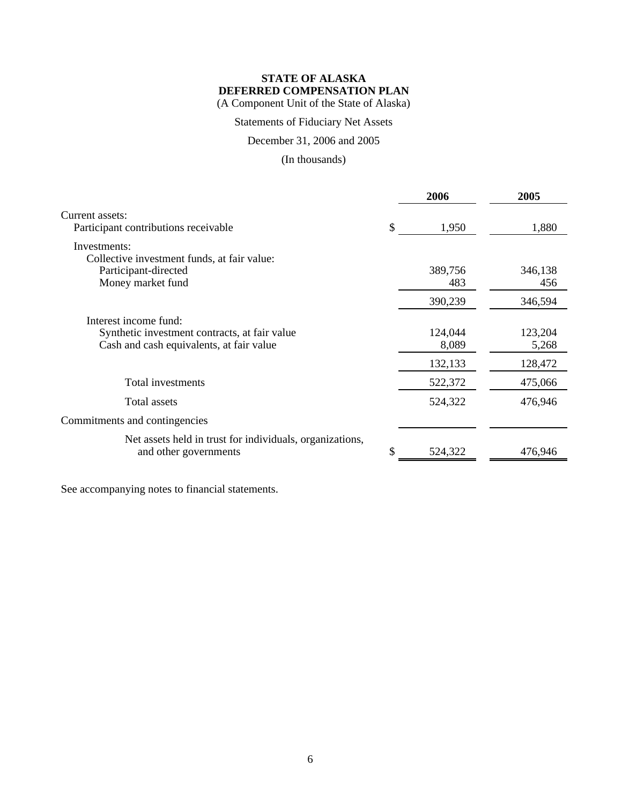Statements of Fiduciary Net Assets

December 31, 2006 and 2005

(In thousands)

|                                                                                                                    |    | 2006             | 2005             |
|--------------------------------------------------------------------------------------------------------------------|----|------------------|------------------|
| Current assets:<br>Participant contributions receivable                                                            | \$ | 1,950            | 1,880            |
| Investments:<br>Collective investment funds, at fair value:                                                        |    |                  |                  |
| Participant-directed<br>Money market fund                                                                          |    | 389,756<br>483   | 346,138<br>456   |
|                                                                                                                    |    | 390,239          | 346,594          |
| Interest income fund:<br>Synthetic investment contracts, at fair value<br>Cash and cash equivalents, at fair value |    | 124,044<br>8,089 | 123,204<br>5,268 |
|                                                                                                                    |    | 132,133          | 128,472          |
| Total investments                                                                                                  |    | 522,372          | 475,066          |
| Total assets                                                                                                       |    | 524,322          | 476,946          |
| Commitments and contingencies                                                                                      |    |                  |                  |
| Net assets held in trust for individuals, organizations,<br>and other governments                                  | S. | 524,322          | 476,946          |

See accompanying notes to financial statements.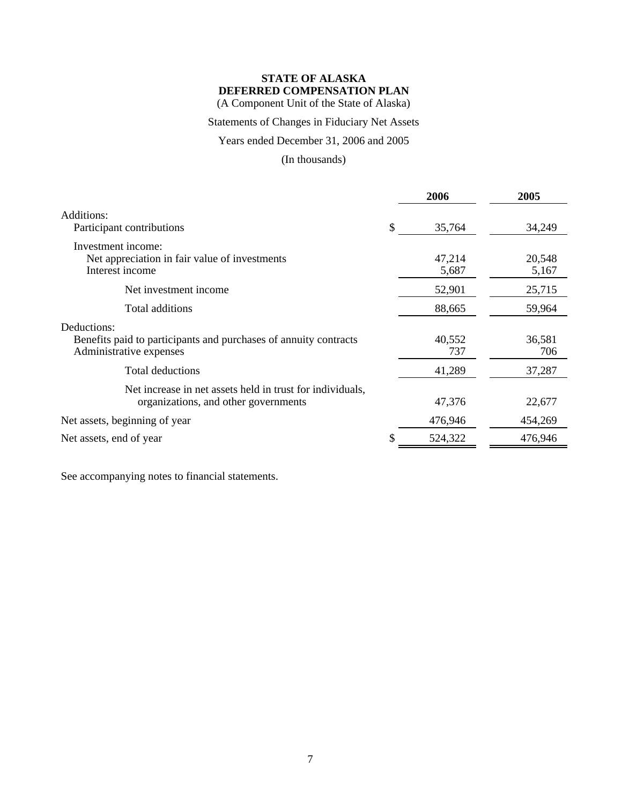(A Component Unit of the State of Alaska)

# Statements of Changes in Fiduciary Net Assets

Years ended December 31, 2006 and 2005

(In thousands)

|                                                                                                            | 2006            | 2005            |
|------------------------------------------------------------------------------------------------------------|-----------------|-----------------|
| Additions:<br>Participant contributions                                                                    | \$<br>35,764    | 34,249          |
| Investment income:<br>Net appreciation in fair value of investments<br>Interest income                     | 47,214<br>5,687 | 20,548<br>5,167 |
| Net investment income                                                                                      | 52,901          | 25,715          |
| Total additions                                                                                            | 88,665          | 59,964          |
| Deductions:<br>Benefits paid to participants and purchases of annuity contracts<br>Administrative expenses | 40,552<br>737   | 36,581<br>706   |
| Total deductions                                                                                           | 41,289          | 37,287          |
| Net increase in net assets held in trust for individuals,<br>organizations, and other governments          | 47,376          | 22,677          |
| Net assets, beginning of year                                                                              | 476,946         | 454,269         |
| Net assets, end of year                                                                                    | 524,322         | 476,946         |
|                                                                                                            |                 |                 |

See accompanying notes to financial statements.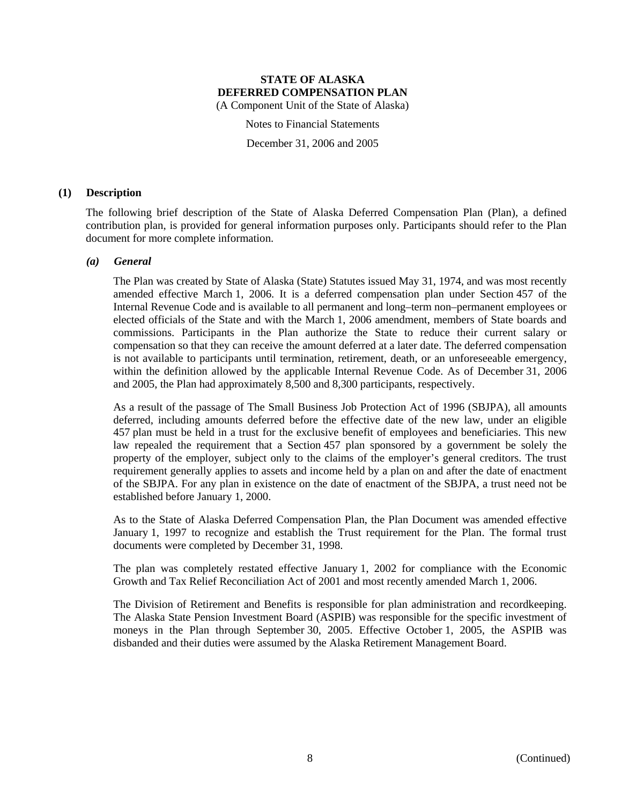Notes to Financial Statements

December 31, 2006 and 2005

### **(1) Description**

The following brief description of the State of Alaska Deferred Compensation Plan (Plan), a defined contribution plan, is provided for general information purposes only. Participants should refer to the Plan document for more complete information.

#### *(a) General*

The Plan was created by State of Alaska (State) Statutes issued May 31, 1974, and was most recently amended effective March 1, 2006. It is a deferred compensation plan under Section 457 of the Internal Revenue Code and is available to all permanent and long–term non–permanent employees or elected officials of the State and with the March 1, 2006 amendment, members of State boards and commissions. Participants in the Plan authorize the State to reduce their current salary or compensation so that they can receive the amount deferred at a later date. The deferred compensation is not available to participants until termination, retirement, death, or an unforeseeable emergency, within the definition allowed by the applicable Internal Revenue Code. As of December 31, 2006 and 2005, the Plan had approximately 8,500 and 8,300 participants, respectively.

As a result of the passage of The Small Business Job Protection Act of 1996 (SBJPA), all amounts deferred, including amounts deferred before the effective date of the new law, under an eligible 457 plan must be held in a trust for the exclusive benefit of employees and beneficiaries. This new law repealed the requirement that a Section 457 plan sponsored by a government be solely the property of the employer, subject only to the claims of the employer's general creditors. The trust requirement generally applies to assets and income held by a plan on and after the date of enactment of the SBJPA. For any plan in existence on the date of enactment of the SBJPA, a trust need not be established before January 1, 2000.

As to the State of Alaska Deferred Compensation Plan, the Plan Document was amended effective January 1, 1997 to recognize and establish the Trust requirement for the Plan. The formal trust documents were completed by December 31, 1998.

The plan was completely restated effective January 1, 2002 for compliance with the Economic Growth and Tax Relief Reconciliation Act of 2001 and most recently amended March 1, 2006.

The Division of Retirement and Benefits is responsible for plan administration and recordkeeping. The Alaska State Pension Investment Board (ASPIB) was responsible for the specific investment of moneys in the Plan through September 30, 2005. Effective October 1, 2005, the ASPIB was disbanded and their duties were assumed by the Alaska Retirement Management Board.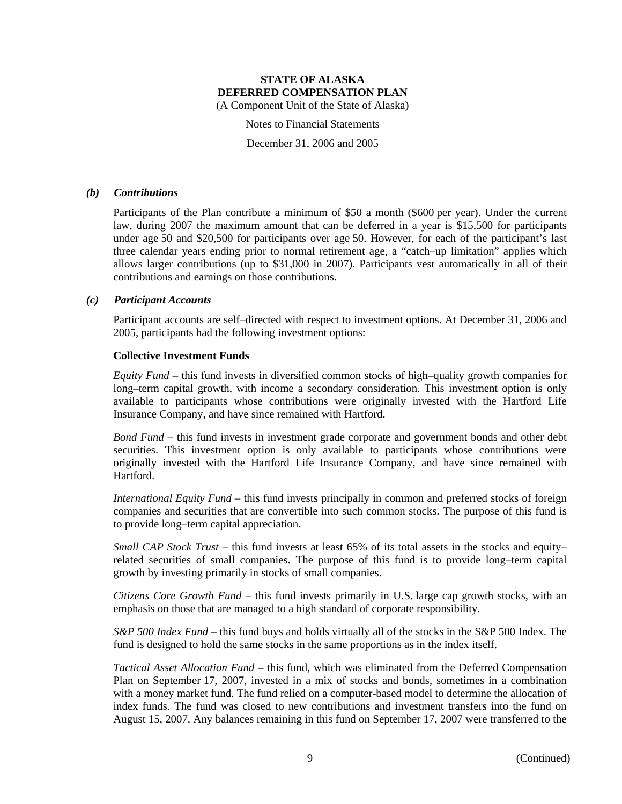Notes to Financial Statements

December 31, 2006 and 2005

#### *(b) Contributions*

Participants of the Plan contribute a minimum of \$50 a month (\$600 per year). Under the current law, during 2007 the maximum amount that can be deferred in a year is \$15,500 for participants under age 50 and \$20,500 for participants over age 50. However, for each of the participant's last three calendar years ending prior to normal retirement age, a "catch–up limitation" applies which allows larger contributions (up to \$31,000 in 2007). Participants vest automatically in all of their contributions and earnings on those contributions.

#### *(c) Participant Accounts*

Participant accounts are self–directed with respect to investment options. At December 31, 2006 and 2005, participants had the following investment options:

#### **Collective Investment Funds**

*Equity Fund* – this fund invests in diversified common stocks of high–quality growth companies for long–term capital growth, with income a secondary consideration. This investment option is only available to participants whose contributions were originally invested with the Hartford Life Insurance Company, and have since remained with Hartford.

*Bond Fund* – this fund invests in investment grade corporate and government bonds and other debt securities. This investment option is only available to participants whose contributions were originally invested with the Hartford Life Insurance Company, and have since remained with **Hartford** 

*International Equity Fund* – this fund invests principally in common and preferred stocks of foreign companies and securities that are convertible into such common stocks. The purpose of this fund is to provide long–term capital appreciation.

*Small CAP Stock Trust* – this fund invests at least 65% of its total assets in the stocks and equity– related securities of small companies. The purpose of this fund is to provide long–term capital growth by investing primarily in stocks of small companies.

*Citizens Core Growth Fund* – this fund invests primarily in U.S. large cap growth stocks, with an emphasis on those that are managed to a high standard of corporate responsibility.

*S&P 500 Index Fund* – this fund buys and holds virtually all of the stocks in the S&P 500 Index. The fund is designed to hold the same stocks in the same proportions as in the index itself.

*Tactical Asset Allocation Fund* – this fund, which was eliminated from the Deferred Compensation Plan on September 17, 2007, invested in a mix of stocks and bonds, sometimes in a combination with a money market fund. The fund relied on a computer-based model to determine the allocation of index funds. The fund was closed to new contributions and investment transfers into the fund on August 15, 2007. Any balances remaining in this fund on September 17, 2007 were transferred to the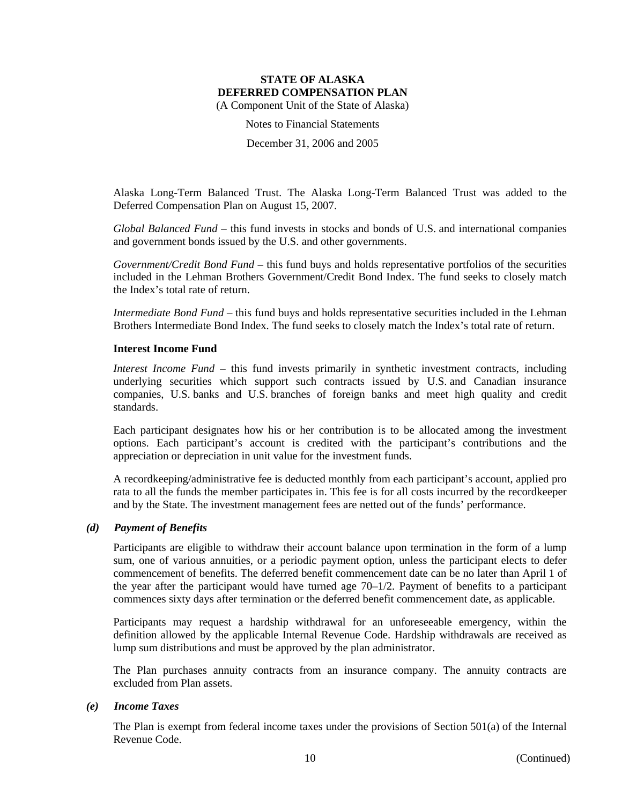Notes to Financial Statements

December 31, 2006 and 2005

Alaska Long-Term Balanced Trust. The Alaska Long-Term Balanced Trust was added to the Deferred Compensation Plan on August 15, 2007.

*Global Balanced Fund* – this fund invests in stocks and bonds of U.S. and international companies and government bonds issued by the U.S. and other governments.

*Government/Credit Bond Fund* – this fund buys and holds representative portfolios of the securities included in the Lehman Brothers Government/Credit Bond Index. The fund seeks to closely match the Index's total rate of return.

*Intermediate Bond Fund* – this fund buys and holds representative securities included in the Lehman Brothers Intermediate Bond Index. The fund seeks to closely match the Index's total rate of return.

# **Interest Income Fund**

*Interest Income Fund* – this fund invests primarily in synthetic investment contracts, including underlying securities which support such contracts issued by U.S. and Canadian insurance companies, U.S. banks and U.S. branches of foreign banks and meet high quality and credit standards.

Each participant designates how his or her contribution is to be allocated among the investment options. Each participant's account is credited with the participant's contributions and the appreciation or depreciation in unit value for the investment funds.

A recordkeeping/administrative fee is deducted monthly from each participant's account, applied pro rata to all the funds the member participates in. This fee is for all costs incurred by the recordkeeper and by the State. The investment management fees are netted out of the funds' performance.

# *(d) Payment of Benefits*

Participants are eligible to withdraw their account balance upon termination in the form of a lump sum, one of various annuities, or a periodic payment option, unless the participant elects to defer commencement of benefits. The deferred benefit commencement date can be no later than April 1 of the year after the participant would have turned age 70–1/2. Payment of benefits to a participant commences sixty days after termination or the deferred benefit commencement date, as applicable.

Participants may request a hardship withdrawal for an unforeseeable emergency, within the definition allowed by the applicable Internal Revenue Code. Hardship withdrawals are received as lump sum distributions and must be approved by the plan administrator.

The Plan purchases annuity contracts from an insurance company. The annuity contracts are excluded from Plan assets.

#### *(e) Income Taxes*

The Plan is exempt from federal income taxes under the provisions of Section 501(a) of the Internal Revenue Code.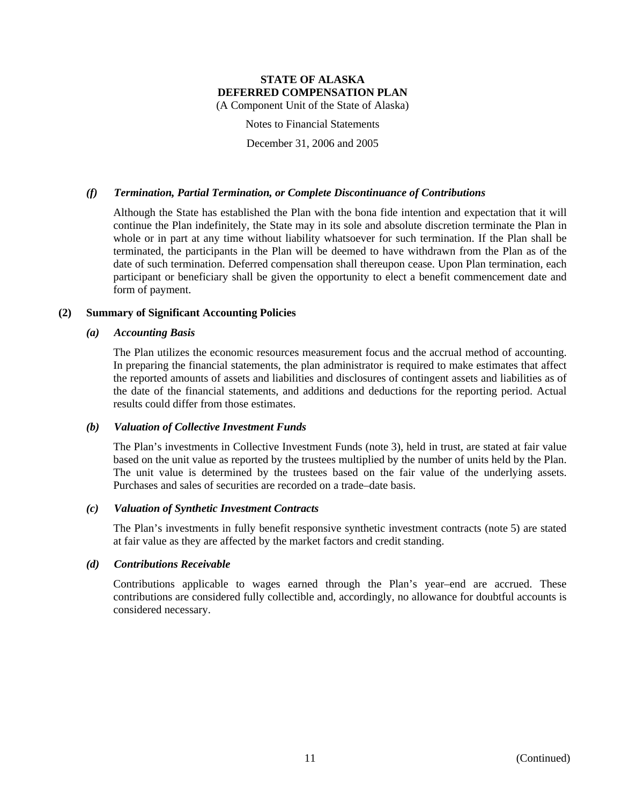(A Component Unit of the State of Alaska)

Notes to Financial Statements

December 31, 2006 and 2005

# *(f) Termination, Partial Termination, or Complete Discontinuance of Contributions*

Although the State has established the Plan with the bona fide intention and expectation that it will continue the Plan indefinitely, the State may in its sole and absolute discretion terminate the Plan in whole or in part at any time without liability whatsoever for such termination. If the Plan shall be terminated, the participants in the Plan will be deemed to have withdrawn from the Plan as of the date of such termination. Deferred compensation shall thereupon cease. Upon Plan termination, each participant or beneficiary shall be given the opportunity to elect a benefit commencement date and form of payment.

# **(2) Summary of Significant Accounting Policies**

# *(a) Accounting Basis*

The Plan utilizes the economic resources measurement focus and the accrual method of accounting. In preparing the financial statements, the plan administrator is required to make estimates that affect the reported amounts of assets and liabilities and disclosures of contingent assets and liabilities as of the date of the financial statements, and additions and deductions for the reporting period. Actual results could differ from those estimates.

# *(b) Valuation of Collective Investment Funds*

The Plan's investments in Collective Investment Funds (note 3), held in trust, are stated at fair value based on the unit value as reported by the trustees multiplied by the number of units held by the Plan. The unit value is determined by the trustees based on the fair value of the underlying assets. Purchases and sales of securities are recorded on a trade–date basis.

#### *(c) Valuation of Synthetic Investment Contracts*

The Plan's investments in fully benefit responsive synthetic investment contracts (note 5) are stated at fair value as they are affected by the market factors and credit standing.

# *(d) Contributions Receivable*

Contributions applicable to wages earned through the Plan's year–end are accrued. These contributions are considered fully collectible and, accordingly, no allowance for doubtful accounts is considered necessary.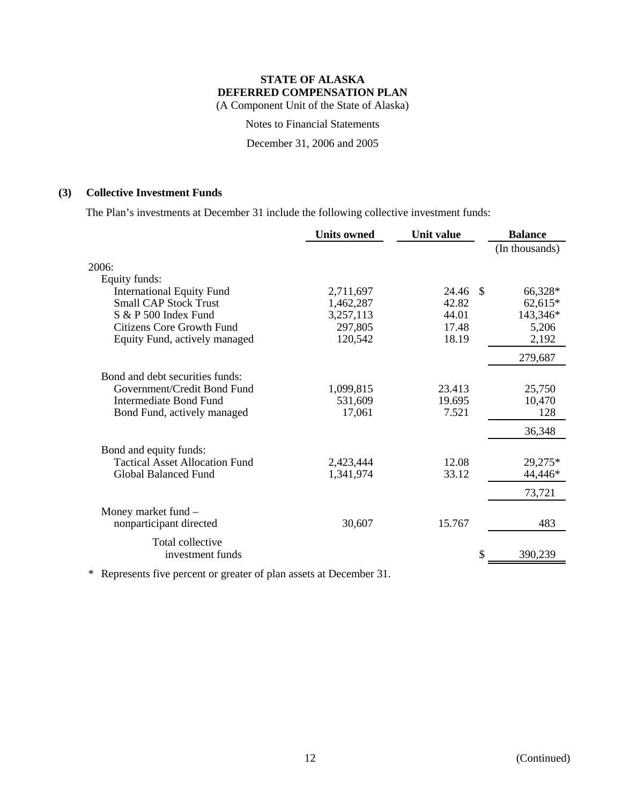Notes to Financial Statements

December 31, 2006 and 2005

# **(3) Collective Investment Funds**

The Plan's investments at December 31 include the following collective investment funds:

|                                       | <b>Units owned</b> | Unit value  | <b>Balance</b> |
|---------------------------------------|--------------------|-------------|----------------|
|                                       |                    |             | (In thousands) |
| 2006:                                 |                    |             |                |
| Equity funds:                         |                    |             |                |
| <b>International Equity Fund</b>      | 2,711,697          | 24.46<br>-S | 66,328*        |
| <b>Small CAP Stock Trust</b>          | 1,462,287          | 42.82       | $62,615*$      |
| $S & P 500$ Index Fund                | 3,257,113          | 44.01       | 143,346*       |
| <b>Citizens Core Growth Fund</b>      | 297,805            | 17.48       | 5,206          |
| Equity Fund, actively managed         | 120,542            | 18.19       | 2,192          |
|                                       |                    |             | 279,687        |
| Bond and debt securities funds:       |                    |             |                |
| Government/Credit Bond Fund           | 1,099,815          | 23.413      | 25,750         |
| Intermediate Bond Fund                | 531,609            | 19.695      | 10,470         |
| Bond Fund, actively managed           | 17,061             | 7.521       | 128            |
|                                       |                    |             | 36,348         |
| Bond and equity funds:                |                    |             |                |
| <b>Tactical Asset Allocation Fund</b> | 2,423,444          | 12.08       | 29,275*        |
| <b>Global Balanced Fund</b>           | 1,341,974          | 33.12       | 44,446*        |
|                                       |                    |             | 73,721         |
| Money market fund -                   |                    |             |                |
| nonparticipant directed               | 30,607             | 15.767      | 483            |
| Total collective                      |                    |             |                |
| investment funds                      |                    | \$          | 390,239        |
|                                       |                    |             |                |

\* Represents five percent or greater of plan assets at December 31.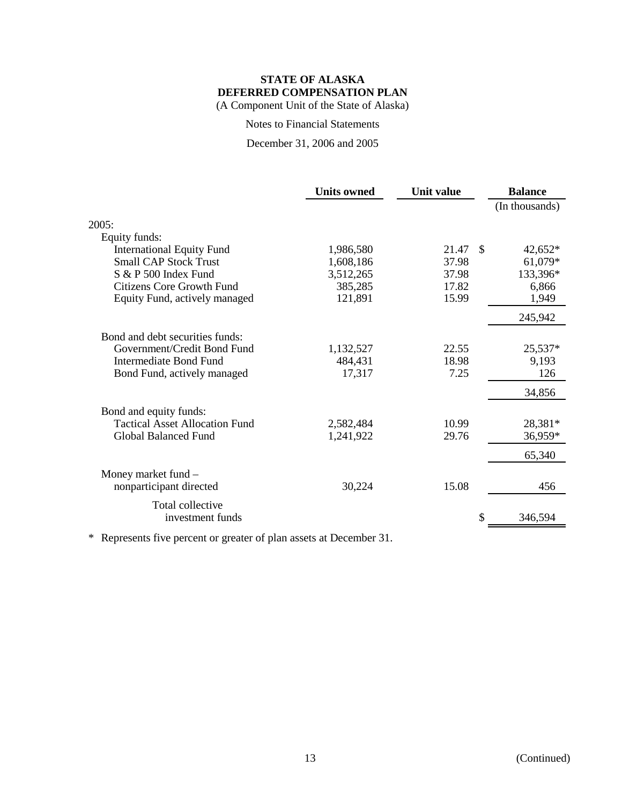(A Component Unit of the State of Alaska)

Notes to Financial Statements

December 31, 2006 and 2005

|                                       | <b>Units owned</b> | <b>Unit value</b> | <b>Balance</b> |
|---------------------------------------|--------------------|-------------------|----------------|
|                                       |                    |                   | (In thousands) |
| 2005:                                 |                    |                   |                |
| Equity funds:                         |                    |                   |                |
| <b>International Equity Fund</b>      | 1,986,580          | 21.47<br>-\$      | 42,652*        |
| <b>Small CAP Stock Trust</b>          | 1,608,186          | 37.98             | 61,079*        |
| S & P 500 Index Fund                  | 3,512,265          | 37.98             | 133,396*       |
| <b>Citizens Core Growth Fund</b>      | 385,285            | 17.82             | 6,866          |
| Equity Fund, actively managed         | 121,891            | 15.99             | 1,949          |
|                                       |                    |                   | 245,942        |
| Bond and debt securities funds:       |                    |                   |                |
| Government/Credit Bond Fund           | 1,132,527          | 22.55             | 25,537*        |
| <b>Intermediate Bond Fund</b>         | 484,431            | 18.98             | 9,193          |
| Bond Fund, actively managed           | 17,317             | 7.25              | 126            |
|                                       |                    |                   | 34,856         |
| Bond and equity funds:                |                    |                   |                |
| <b>Tactical Asset Allocation Fund</b> | 2,582,484          | 10.99             | 28,381*        |
| <b>Global Balanced Fund</b>           | 1,241,922          | 29.76             | 36,959*        |
|                                       |                    |                   | 65,340         |
| Money market fund -                   |                    |                   |                |
| nonparticipant directed               | 30,224             | 15.08             | 456            |
| Total collective                      |                    |                   |                |
| investment funds                      |                    |                   | 346,594        |
|                                       |                    |                   |                |

\* Represents five percent or greater of plan assets at December 31.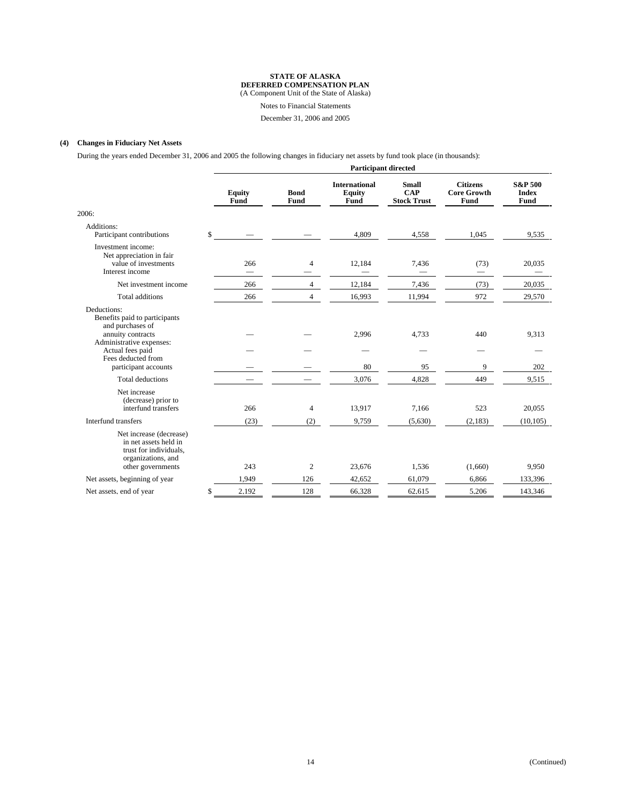(A Component Unit of the State of Alaska)

Notes to Financial Statements

December 31, 2006 and 2005

#### **(4) Changes in Fiduciary Net Assets**

During the years ended December 31, 2006 and 2005 the following changes in fiduciary net assets by fund took place (in thousands):

|                                                                                                                                                             |              | <b>Participant directed</b> |                     |                                                      |                                                  |                                               |                                            |  |
|-------------------------------------------------------------------------------------------------------------------------------------------------------------|--------------|-----------------------------|---------------------|------------------------------------------------------|--------------------------------------------------|-----------------------------------------------|--------------------------------------------|--|
|                                                                                                                                                             |              | <b>Equity</b><br>Fund       | <b>Bond</b><br>Fund | <b>International</b><br><b>Equity</b><br><b>Fund</b> | <b>Small</b><br><b>CAP</b><br><b>Stock Trust</b> | <b>Citizens</b><br><b>Core Growth</b><br>Fund | <b>S&amp;P 500</b><br><b>Index</b><br>Fund |  |
| 2006:                                                                                                                                                       |              |                             |                     |                                                      |                                                  |                                               |                                            |  |
| Additions:<br>Participant contributions                                                                                                                     | $\mathbb{S}$ |                             |                     | 4,809                                                | 4,558                                            | 1,045                                         | 9,535                                      |  |
| Investment income:<br>Net appreciation in fair<br>value of investments<br>Interest income                                                                   |              | 266                         | 4                   | 12,184                                               | 7,436                                            | (73)                                          | 20,035                                     |  |
| Net investment income                                                                                                                                       |              | 266                         | $\overline{4}$      | 12,184                                               | 7,436                                            | (73)                                          | 20,035                                     |  |
| Total additions                                                                                                                                             |              | 266                         | $\overline{4}$      | 16,993                                               | 11,994                                           | 972                                           | 29,570                                     |  |
| Deductions:<br>Benefits paid to participants<br>and purchases of<br>annuity contracts<br>Administrative expenses:<br>Actual fees paid<br>Fees deducted from |              |                             |                     | 2,996                                                | 4,733                                            | 440                                           | 9,313                                      |  |
| participant accounts                                                                                                                                        |              |                             |                     | 80                                                   | 95                                               | 9                                             | 202                                        |  |
| <b>Total deductions</b>                                                                                                                                     |              |                             |                     | 3,076                                                | 4,828                                            | 449                                           | 9,515                                      |  |
| Net increase<br>(decrease) prior to<br>interfund transfers<br>Interfund transfers                                                                           |              | 266                         | 4                   | 13,917                                               | 7,166                                            | 523                                           | 20,055                                     |  |
|                                                                                                                                                             |              | (23)                        | (2)                 | 9,759                                                | (5,630)                                          | (2,183)                                       | (10, 105)                                  |  |
| Net increase (decrease)<br>in net assets held in<br>trust for individuals,<br>organizations, and<br>other governments                                       |              | 243                         | 2                   | 23,676                                               | 1,536                                            | (1,660)                                       | 9,950                                      |  |
| Net assets, beginning of year                                                                                                                               |              | 1,949                       | 126                 | 42,652                                               | 61,079                                           | 6,866                                         | 133,396                                    |  |
| Net assets, end of year                                                                                                                                     | \$           | 2,192                       | 128                 | 66,328                                               | 62.615                                           | 5,206                                         | 143,346                                    |  |
|                                                                                                                                                             |              |                             |                     |                                                      |                                                  |                                               |                                            |  |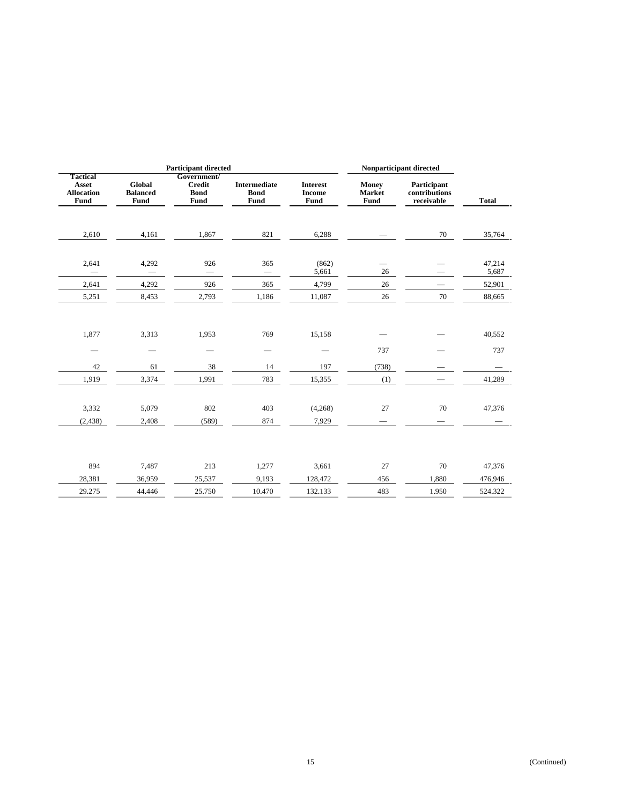|                                                       | <b>Participant directed</b>              |                                                     |                                            |                                          | Nonparticipant directed        |                                            |                              |
|-------------------------------------------------------|------------------------------------------|-----------------------------------------------------|--------------------------------------------|------------------------------------------|--------------------------------|--------------------------------------------|------------------------------|
| <b>Tactical</b><br>Asset<br><b>Allocation</b><br>Fund | <b>Global</b><br><b>Balanced</b><br>Fund | Government/<br><b>Credit</b><br><b>Bond</b><br>Fund | <b>Intermediate</b><br><b>Bond</b><br>Fund | <b>Interest</b><br><b>Income</b><br>Fund | <b>Money</b><br>Market<br>Fund | Participant<br>contributions<br>receivable | <b>Total</b>                 |
| 2,610                                                 | 4,161                                    | 1,867                                               | 821                                        | 6,288                                    |                                | $70\,$                                     | 35,764                       |
| 2,641                                                 | 4,292                                    | 926                                                 | 365                                        | (862)<br>5,661                           | 26                             |                                            | 47,214<br>5,687              |
| 2,641                                                 | 4,292                                    | 926                                                 | 365                                        | 4,799                                    | 26                             |                                            | 52,901                       |
| 5,251                                                 | 8,453                                    | 2,793                                               | 1,186                                      | 11,087                                   | 26                             | $70\,$                                     | 88,665                       |
| 1,877                                                 | 3,313                                    | 1,953                                               | 769                                        | 15,158                                   | 737                            |                                            | 40,552<br>737                |
| 42                                                    | 61                                       | 38                                                  | 14                                         | 197                                      | (738)                          |                                            |                              |
| 1,919<br>3,332<br>(2, 438)                            | 3,374<br>5,079<br>2,408                  | 1,991<br>802<br>(589)                               | 783<br>403<br>874                          | 15,355<br>(4,268)<br>7,929               | (1)<br>27                      | 70                                         | 41,289<br>47,376             |
| 894<br>28,381<br>29,275                               | 7,487<br>36,959<br>44,446                | 213<br>25,537<br>25,750                             | 1,277<br>9,193<br>10,470                   | 3,661<br>128,472<br>132,133              | 27<br>456<br>483               | 70<br>1,880<br>1,950                       | 47,376<br>476,946<br>524,322 |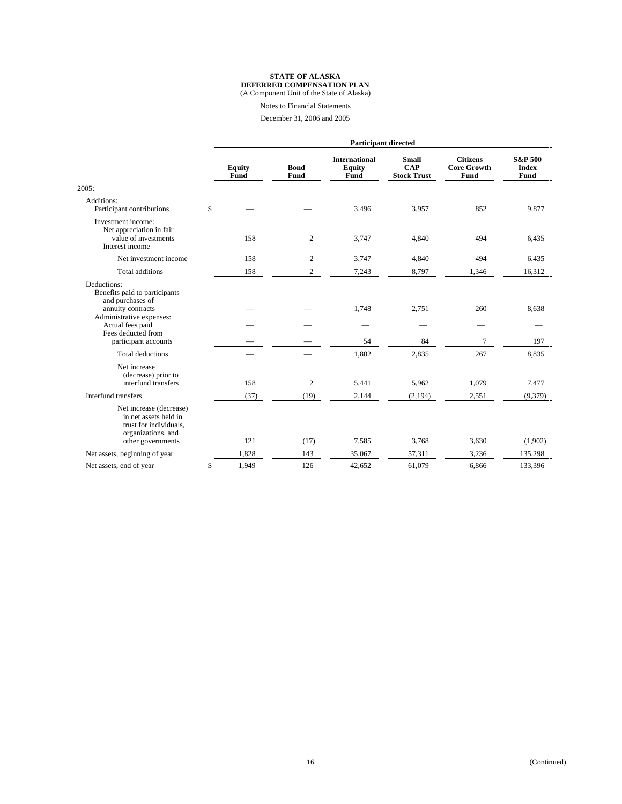(A Component Unit of the State of Alaska)

Notes to Financial Statements

December 31, 2006 and 2005

|                                                                                                                                                             | <b>Participant directed</b> |                     |                                                      |                                                  |                                               |                                            |  |
|-------------------------------------------------------------------------------------------------------------------------------------------------------------|-----------------------------|---------------------|------------------------------------------------------|--------------------------------------------------|-----------------------------------------------|--------------------------------------------|--|
|                                                                                                                                                             | <b>Equity</b><br>Fund       | <b>Bond</b><br>Fund | <b>International</b><br><b>Equity</b><br><b>Fund</b> | <b>Small</b><br><b>CAP</b><br><b>Stock Trust</b> | <b>Citizens</b><br><b>Core Growth</b><br>Fund | <b>S&amp;P 500</b><br><b>Index</b><br>Fund |  |
| 2005:                                                                                                                                                       |                             |                     |                                                      |                                                  |                                               |                                            |  |
| Additions:<br>Participant contributions                                                                                                                     | \$                          |                     | 3,496                                                | 3,957                                            | 852                                           | 9,877                                      |  |
| Investment income:<br>Net appreciation in fair<br>value of investments<br>Interest income                                                                   | 158                         | 2                   | 3,747                                                | 4,840                                            | 494                                           | 6,435                                      |  |
| Net investment income                                                                                                                                       | 158                         | $\overline{c}$      | 3,747                                                | 4,840                                            | 494                                           | 6,435                                      |  |
| <b>Total additions</b>                                                                                                                                      | 158                         | $\overline{2}$      | 7,243                                                | 8,797                                            | 1,346                                         | 16,312                                     |  |
| Deductions:<br>Benefits paid to participants<br>and purchases of<br>annuity contracts<br>Administrative expenses:<br>Actual fees paid<br>Fees deducted from |                             |                     | 1,748                                                | 2,751                                            | 260                                           | 8,638                                      |  |
| participant accounts                                                                                                                                        |                             |                     | 54                                                   | 84                                               | 7                                             | 197                                        |  |
| Total deductions                                                                                                                                            |                             |                     | 1,802                                                | 2,835                                            | 267                                           | 8,835                                      |  |
| Net increase<br>(decrease) prior to<br>interfund transfers                                                                                                  | 158                         | $\overline{2}$      | 5,441                                                | 5,962                                            | 1,079                                         | 7,477                                      |  |
| Interfund transfers                                                                                                                                         | (37)                        | (19)                | 2,144                                                | (2,194)                                          | 2,551                                         | (9,379)                                    |  |
| Net increase (decrease)<br>in net assets held in<br>trust for individuals,<br>organizations, and<br>other governments                                       | 121                         | (17)                | 7,585                                                | 3,768                                            | 3,630                                         | (1,902)                                    |  |
| Net assets, beginning of year                                                                                                                               | 1,828                       | 143                 | 35,067                                               | 57,311                                           | 3,236                                         | 135,298                                    |  |
| Net assets, end of year                                                                                                                                     | \$<br>1,949                 | 126                 | 42,652                                               | 61,079                                           | 6,866                                         | 133,396                                    |  |
|                                                                                                                                                             |                             |                     |                                                      |                                                  |                                               |                                            |  |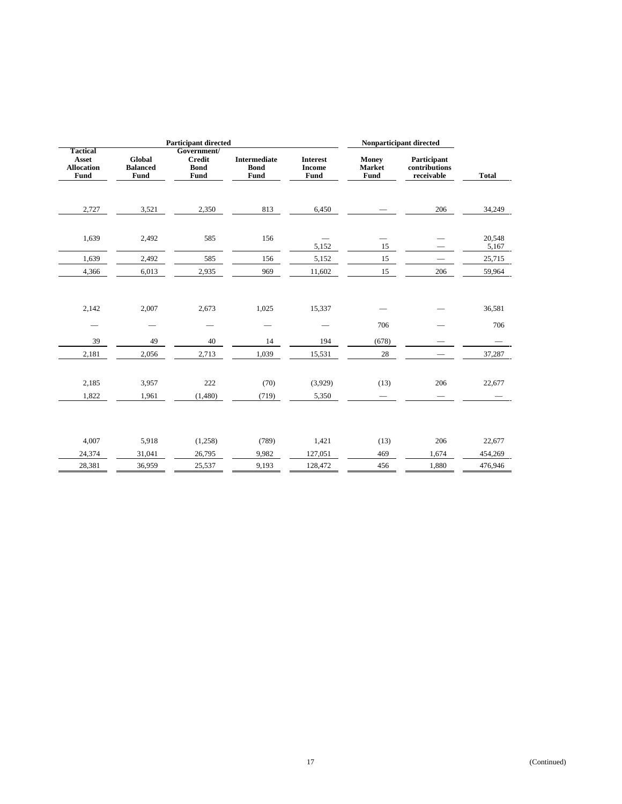|                                                       | <b>Participant directed</b>       |                                                     |                                                   |                                          | Nonparticipant directed        |                                            |                   |
|-------------------------------------------------------|-----------------------------------|-----------------------------------------------------|---------------------------------------------------|------------------------------------------|--------------------------------|--------------------------------------------|-------------------|
| <b>Tactical</b><br>Asset<br><b>Allocation</b><br>Fund | Global<br><b>Balanced</b><br>Fund | Government/<br><b>Credit</b><br><b>Bond</b><br>Fund | <b>Intermediate</b><br><b>Bond</b><br><b>Fund</b> | <b>Interest</b><br><b>Income</b><br>Fund | <b>Money</b><br>Market<br>Fund | Participant<br>contributions<br>receivable | <b>Total</b>      |
| 2,727                                                 | 3,521                             | 2,350                                               | 813                                               | 6,450                                    |                                | 206                                        | 34,249            |
| 1,639                                                 | 2,492                             | 585                                                 | 156                                               | 5,152                                    | 15                             |                                            | 20,548<br>5,167   |
| 1,639                                                 | 2,492                             | 585                                                 | 156                                               | 5,152                                    | 15                             |                                            | 25,715            |
| 4,366                                                 | 6,013                             | 2,935                                               | 969                                               | 11,602                                   | 15                             | 206                                        | 59,964            |
| 2,142                                                 | 2,007                             | 2,673<br>$\overline{\phantom{0}}$                   | 1,025                                             | 15,337                                   | 706                            |                                            | 36,581<br>706     |
| 39                                                    | 49                                | 40                                                  | 14                                                | 194                                      | (678)                          |                                            |                   |
| 2,181                                                 | 2,056                             | 2,713                                               | 1,039                                             | 15,531                                   | 28                             |                                            | 37,287            |
| 2,185<br>1,822                                        | 3,957<br>1,961                    | 222<br>(1,480)                                      | (70)<br>(719)                                     | (3,929)<br>5,350                         | (13)                           | 206                                        | 22,677            |
| 4,007<br>24,374                                       | 5,918<br>31,041                   | (1,258)<br>26,795                                   | (789)<br>9,982                                    | 1,421<br>127,051                         | (13)<br>469                    | 206<br>1,674                               | 22,677<br>454,269 |
| 28,381                                                | 36,959                            | 25,537                                              | 9,193                                             | 128,472                                  | 456                            | 1,880                                      | 476,946           |
|                                                       |                                   |                                                     |                                                   |                                          |                                |                                            |                   |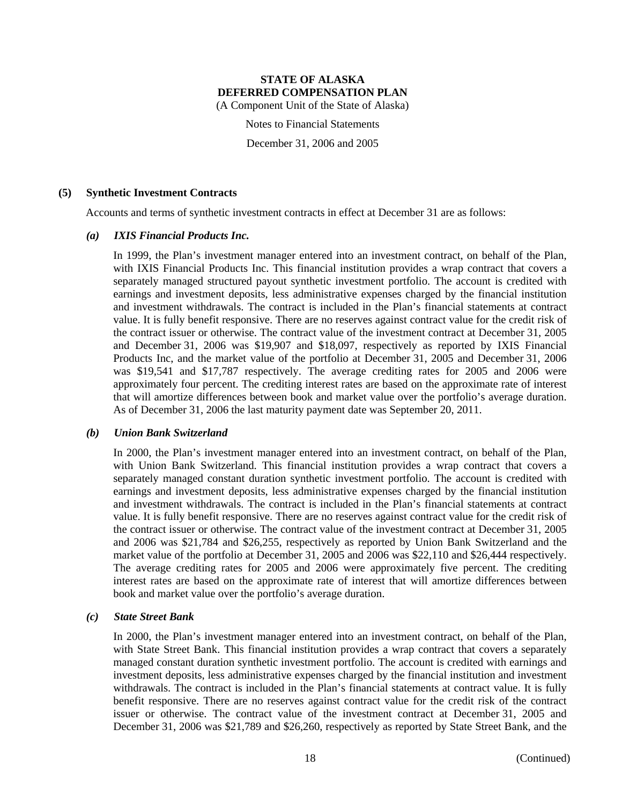(A Component Unit of the State of Alaska)

Notes to Financial Statements

December 31, 2006 and 2005

# **(5) Synthetic Investment Contracts**

Accounts and terms of synthetic investment contracts in effect at December 31 are as follows:

# *(a) IXIS Financial Products Inc.*

In 1999, the Plan's investment manager entered into an investment contract, on behalf of the Plan, with IXIS Financial Products Inc. This financial institution provides a wrap contract that covers a separately managed structured payout synthetic investment portfolio. The account is credited with earnings and investment deposits, less administrative expenses charged by the financial institution and investment withdrawals. The contract is included in the Plan's financial statements at contract value. It is fully benefit responsive. There are no reserves against contract value for the credit risk of the contract issuer or otherwise. The contract value of the investment contract at December 31, 2005 and December 31, 2006 was \$19,907 and \$18,097, respectively as reported by IXIS Financial Products Inc, and the market value of the portfolio at December 31, 2005 and December 31, 2006 was \$19,541 and \$17,787 respectively. The average crediting rates for 2005 and 2006 were approximately four percent. The crediting interest rates are based on the approximate rate of interest that will amortize differences between book and market value over the portfolio's average duration. As of December 31, 2006 the last maturity payment date was September 20, 2011.

# *(b) Union Bank Switzerland*

In 2000, the Plan's investment manager entered into an investment contract, on behalf of the Plan, with Union Bank Switzerland. This financial institution provides a wrap contract that covers a separately managed constant duration synthetic investment portfolio. The account is credited with earnings and investment deposits, less administrative expenses charged by the financial institution and investment withdrawals. The contract is included in the Plan's financial statements at contract value. It is fully benefit responsive. There are no reserves against contract value for the credit risk of the contract issuer or otherwise. The contract value of the investment contract at December 31, 2005 and 2006 was \$21,784 and \$26,255, respectively as reported by Union Bank Switzerland and the market value of the portfolio at December 31, 2005 and 2006 was \$22,110 and \$26,444 respectively. The average crediting rates for 2005 and 2006 were approximately five percent. The crediting interest rates are based on the approximate rate of interest that will amortize differences between book and market value over the portfolio's average duration.

#### *(c) State Street Bank*

In 2000, the Plan's investment manager entered into an investment contract, on behalf of the Plan, with State Street Bank. This financial institution provides a wrap contract that covers a separately managed constant duration synthetic investment portfolio. The account is credited with earnings and investment deposits, less administrative expenses charged by the financial institution and investment withdrawals. The contract is included in the Plan's financial statements at contract value. It is fully benefit responsive. There are no reserves against contract value for the credit risk of the contract issuer or otherwise. The contract value of the investment contract at December 31, 2005 and December 31, 2006 was \$21,789 and \$26,260, respectively as reported by State Street Bank, and the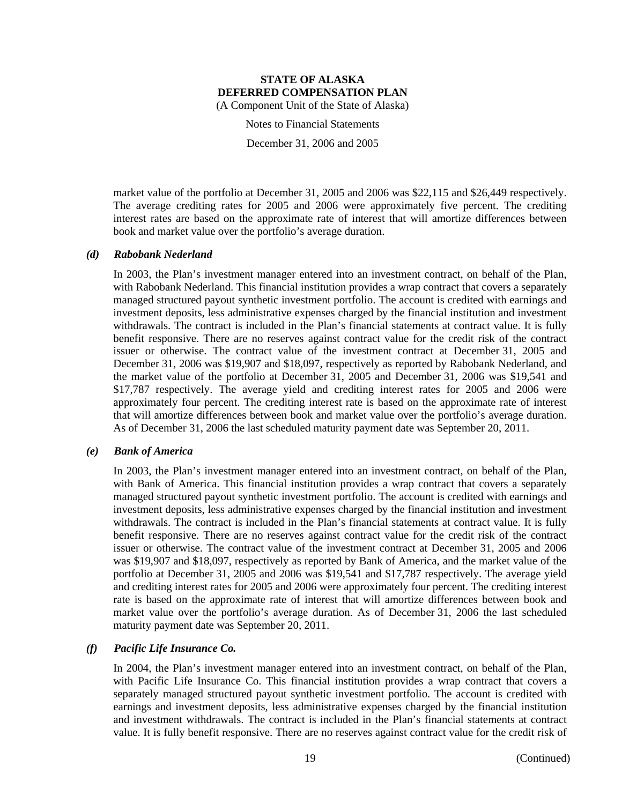Notes to Financial Statements

December 31, 2006 and 2005

market value of the portfolio at December 31, 2005 and 2006 was \$22,115 and \$26,449 respectively. The average crediting rates for 2005 and 2006 were approximately five percent. The crediting interest rates are based on the approximate rate of interest that will amortize differences between book and market value over the portfolio's average duration.

# *(d) Rabobank Nederland*

In 2003, the Plan's investment manager entered into an investment contract, on behalf of the Plan, with Rabobank Nederland. This financial institution provides a wrap contract that covers a separately managed structured payout synthetic investment portfolio. The account is credited with earnings and investment deposits, less administrative expenses charged by the financial institution and investment withdrawals. The contract is included in the Plan's financial statements at contract value. It is fully benefit responsive. There are no reserves against contract value for the credit risk of the contract issuer or otherwise. The contract value of the investment contract at December 31, 2005 and December 31, 2006 was \$19,907 and \$18,097, respectively as reported by Rabobank Nederland, and the market value of the portfolio at December 31, 2005 and December 31, 2006 was \$19,541 and \$17,787 respectively. The average yield and crediting interest rates for 2005 and 2006 were approximately four percent. The crediting interest rate is based on the approximate rate of interest that will amortize differences between book and market value over the portfolio's average duration. As of December 31, 2006 the last scheduled maturity payment date was September 20, 2011.

### *(e) Bank of America*

In 2003, the Plan's investment manager entered into an investment contract, on behalf of the Plan, with Bank of America. This financial institution provides a wrap contract that covers a separately managed structured payout synthetic investment portfolio. The account is credited with earnings and investment deposits, less administrative expenses charged by the financial institution and investment withdrawals. The contract is included in the Plan's financial statements at contract value. It is fully benefit responsive. There are no reserves against contract value for the credit risk of the contract issuer or otherwise. The contract value of the investment contract at December 31, 2005 and 2006 was \$19,907 and \$18,097, respectively as reported by Bank of America, and the market value of the portfolio at December 31, 2005 and 2006 was \$19,541 and \$17,787 respectively. The average yield and crediting interest rates for 2005 and 2006 were approximately four percent. The crediting interest rate is based on the approximate rate of interest that will amortize differences between book and market value over the portfolio's average duration. As of December 31, 2006 the last scheduled maturity payment date was September 20, 2011.

# *(f) Pacific Life Insurance Co.*

In 2004, the Plan's investment manager entered into an investment contract, on behalf of the Plan, with Pacific Life Insurance Co. This financial institution provides a wrap contract that covers a separately managed structured payout synthetic investment portfolio. The account is credited with earnings and investment deposits, less administrative expenses charged by the financial institution and investment withdrawals. The contract is included in the Plan's financial statements at contract value. It is fully benefit responsive. There are no reserves against contract value for the credit risk of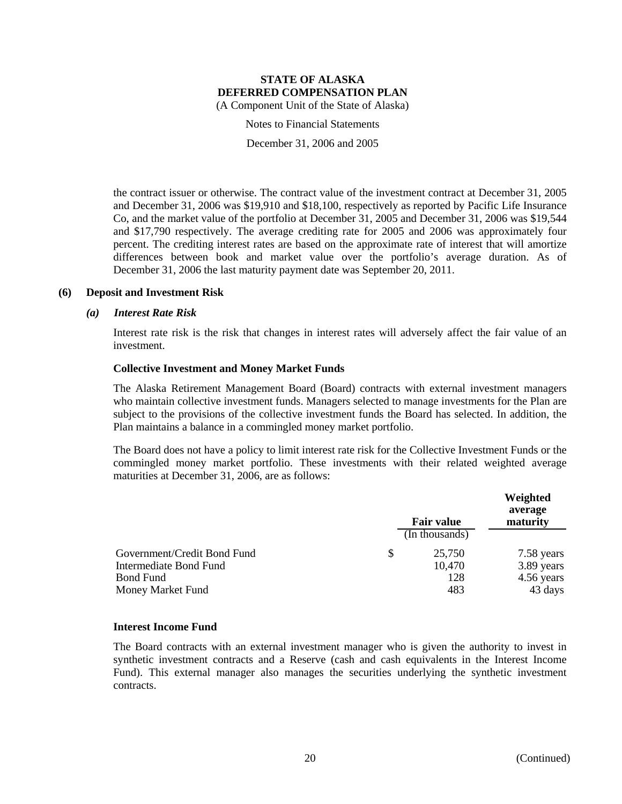Notes to Financial Statements

December 31, 2006 and 2005

the contract issuer or otherwise. The contract value of the investment contract at December 31, 2005 and December 31, 2006 was \$19,910 and \$18,100, respectively as reported by Pacific Life Insurance Co, and the market value of the portfolio at December 31, 2005 and December 31, 2006 was \$19,544 and \$17,790 respectively. The average crediting rate for 2005 and 2006 was approximately four percent. The crediting interest rates are based on the approximate rate of interest that will amortize differences between book and market value over the portfolio's average duration. As of December 31, 2006 the last maturity payment date was September 20, 2011.

# **(6) Deposit and Investment Risk**

#### *(a) Interest Rate Risk*

Interest rate risk is the risk that changes in interest rates will adversely affect the fair value of an investment.

# **Collective Investment and Money Market Funds**

The Alaska Retirement Management Board (Board) contracts with external investment managers who maintain collective investment funds. Managers selected to manage investments for the Plan are subject to the provisions of the collective investment funds the Board has selected. In addition, the Plan maintains a balance in a commingled money market portfolio.

The Board does not have a policy to limit interest rate risk for the Collective Investment Funds or the commingled money market portfolio. These investments with their related weighted average maturities at December 31, 2006, are as follows:

|                             | <b>Fair value</b><br>(In thousands) | Weighted<br>average<br>maturity |
|-----------------------------|-------------------------------------|---------------------------------|
| Government/Credit Bond Fund | \$<br>25,750                        | 7.58 years                      |
| Intermediate Bond Fund      | 10,470                              | 3.89 years                      |
| <b>Bond Fund</b>            | 128                                 | 4.56 years                      |
| Money Market Fund           | 483                                 | 43 days                         |

#### **Interest Income Fund**

The Board contracts with an external investment manager who is given the authority to invest in synthetic investment contracts and a Reserve (cash and cash equivalents in the Interest Income Fund). This external manager also manages the securities underlying the synthetic investment contracts.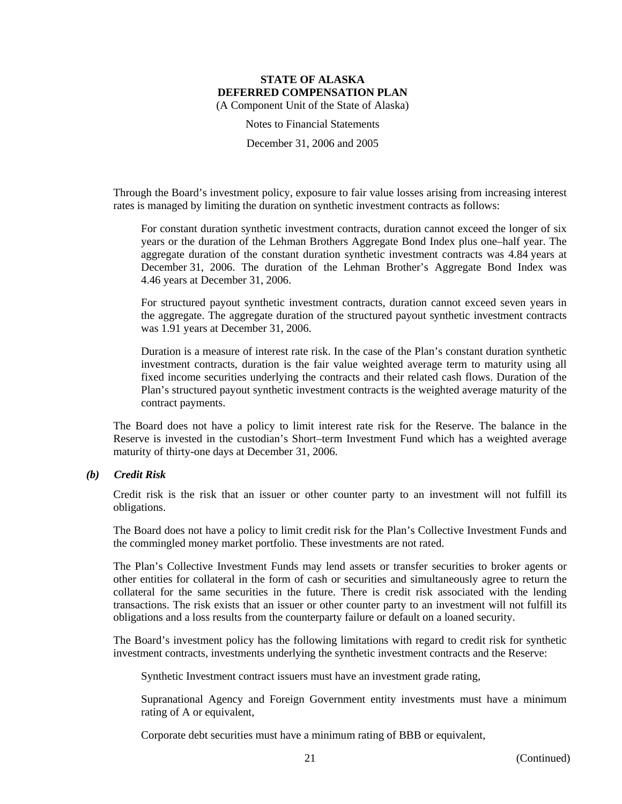Notes to Financial Statements

December 31, 2006 and 2005

Through the Board's investment policy, exposure to fair value losses arising from increasing interest rates is managed by limiting the duration on synthetic investment contracts as follows:

For constant duration synthetic investment contracts, duration cannot exceed the longer of six years or the duration of the Lehman Brothers Aggregate Bond Index plus one–half year. The aggregate duration of the constant duration synthetic investment contracts was 4.84 years at December 31, 2006. The duration of the Lehman Brother's Aggregate Bond Index was 4.46 years at December 31, 2006.

For structured payout synthetic investment contracts, duration cannot exceed seven years in the aggregate. The aggregate duration of the structured payout synthetic investment contracts was 1.91 years at December 31, 2006.

Duration is a measure of interest rate risk. In the case of the Plan's constant duration synthetic investment contracts, duration is the fair value weighted average term to maturity using all fixed income securities underlying the contracts and their related cash flows. Duration of the Plan's structured payout synthetic investment contracts is the weighted average maturity of the contract payments.

The Board does not have a policy to limit interest rate risk for the Reserve. The balance in the Reserve is invested in the custodian's Short–term Investment Fund which has a weighted average maturity of thirty-one days at December 31, 2006.

# *(b) Credit Risk*

Credit risk is the risk that an issuer or other counter party to an investment will not fulfill its obligations.

The Board does not have a policy to limit credit risk for the Plan's Collective Investment Funds and the commingled money market portfolio. These investments are not rated.

The Plan's Collective Investment Funds may lend assets or transfer securities to broker agents or other entities for collateral in the form of cash or securities and simultaneously agree to return the collateral for the same securities in the future. There is credit risk associated with the lending transactions. The risk exists that an issuer or other counter party to an investment will not fulfill its obligations and a loss results from the counterparty failure or default on a loaned security.

The Board's investment policy has the following limitations with regard to credit risk for synthetic investment contracts, investments underlying the synthetic investment contracts and the Reserve:

Synthetic Investment contract issuers must have an investment grade rating,

Supranational Agency and Foreign Government entity investments must have a minimum rating of A or equivalent,

Corporate debt securities must have a minimum rating of BBB or equivalent,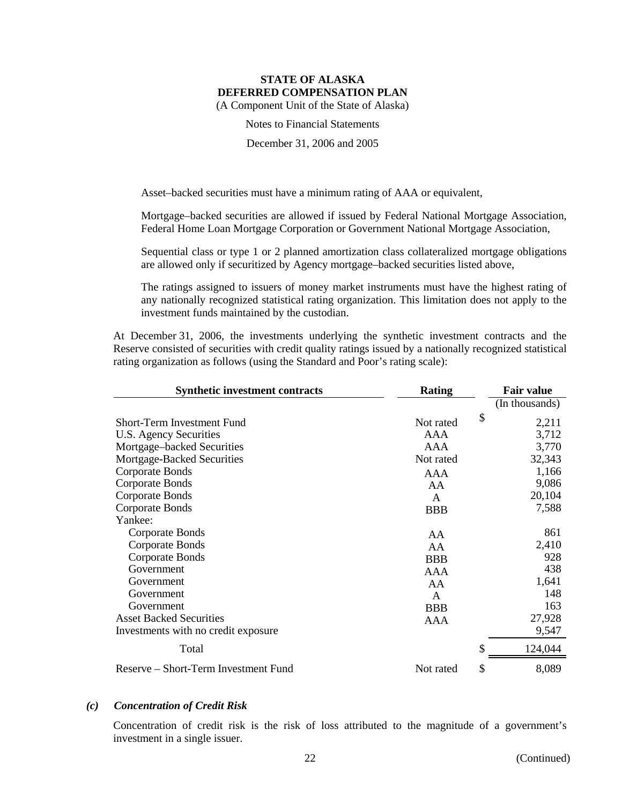Notes to Financial Statements

December 31, 2006 and 2005

Asset–backed securities must have a minimum rating of AAA or equivalent,

Mortgage–backed securities are allowed if issued by Federal National Mortgage Association, Federal Home Loan Mortgage Corporation or Government National Mortgage Association,

Sequential class or type 1 or 2 planned amortization class collateralized mortgage obligations are allowed only if securitized by Agency mortgage–backed securities listed above,

The ratings assigned to issuers of money market instruments must have the highest rating of any nationally recognized statistical rating organization. This limitation does not apply to the investment funds maintained by the custodian.

At December 31, 2006, the investments underlying the synthetic investment contracts and the Reserve consisted of securities with credit quality ratings issued by a nationally recognized statistical rating organization as follows (using the Standard and Poor's rating scale):

| <b>Synthetic investment contracts</b> | Rating     | <b>Fair value</b> |
|---------------------------------------|------------|-------------------|
|                                       |            | (In thousands)    |
| Short-Term Investment Fund            | Not rated  | \$<br>2,211       |
| U.S. Agency Securities                | AAA        | 3,712             |
| Mortgage-backed Securities            | AAA        | 3,770             |
| Mortgage-Backed Securities            | Not rated  | 32,343            |
| Corporate Bonds                       | AAA        | 1,166             |
| Corporate Bonds                       | AA         | 9,086             |
| Corporate Bonds                       | A          | 20,104            |
| Corporate Bonds                       | <b>BBB</b> | 7,588             |
| Yankee:                               |            |                   |
| Corporate Bonds                       | AA         | 861               |
| Corporate Bonds                       | AA         | 2,410             |
| Corporate Bonds                       | <b>BBB</b> | 928               |
| Government                            | AAA        | 438               |
| Government                            | AA         | 1,641             |
| Government                            | A          | 148               |
| Government                            | <b>BBB</b> | 163               |
| <b>Asset Backed Securities</b>        | AAA        | 27,928            |
| Investments with no credit exposure.  |            | 9,547             |
| Total                                 |            | \$<br>124,044     |
| Reserve – Short-Term Investment Fund  | Not rated  | \$<br>8,089       |

#### *(c) Concentration of Credit Risk*

Concentration of credit risk is the risk of loss attributed to the magnitude of a government's investment in a single issuer.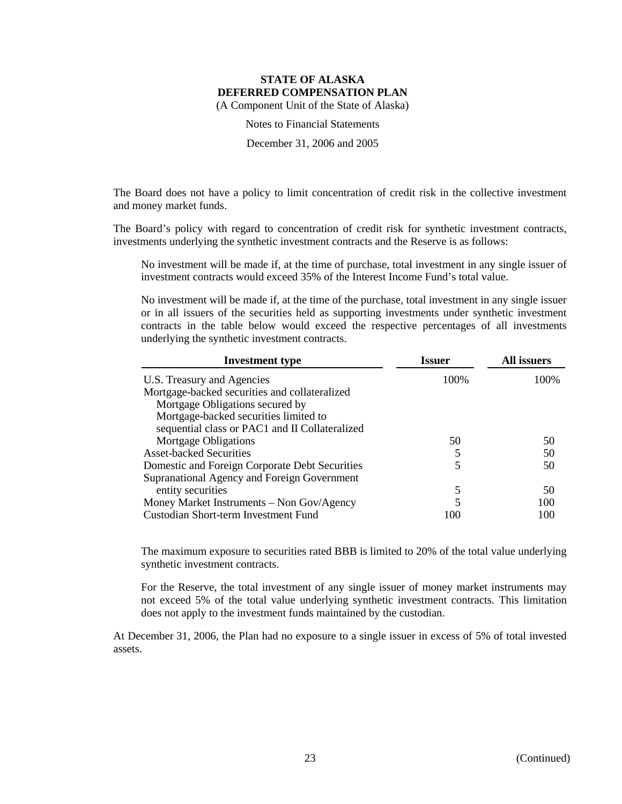Notes to Financial Statements

December 31, 2006 and 2005

The Board does not have a policy to limit concentration of credit risk in the collective investment and money market funds.

The Board's policy with regard to concentration of credit risk for synthetic investment contracts, investments underlying the synthetic investment contracts and the Reserve is as follows:

No investment will be made if, at the time of purchase, total investment in any single issuer of investment contracts would exceed 35% of the Interest Income Fund's total value.

No investment will be made if, at the time of the purchase, total investment in any single issuer or in all issuers of the securities held as supporting investments under synthetic investment contracts in the table below would exceed the respective percentages of all investments underlying the synthetic investment contracts.

| <b>Investment type</b>                         | <b>Issuer</b> | All issuers |
|------------------------------------------------|---------------|-------------|
| U.S. Treasury and Agencies                     | 100%          | 100%        |
| Mortgage-backed securities and collateralized  |               |             |
| Mortgage Obligations secured by                |               |             |
| Mortgage-backed securities limited to          |               |             |
| sequential class or PAC1 and II Collateralized |               |             |
| <b>Mortgage Obligations</b>                    | 50            | 50          |
| <b>Asset-backed Securities</b>                 | 5             | 50          |
| Domestic and Foreign Corporate Debt Securities | 5             | 50          |
| Supranational Agency and Foreign Government    |               |             |
| entity securities                              | 5             | 50          |
| Money Market Instruments - Non Gov/Agency      | 5             | 100         |
| Custodian Short-term Investment Fund           | 100           | 100         |

The maximum exposure to securities rated BBB is limited to 20% of the total value underlying synthetic investment contracts.

For the Reserve, the total investment of any single issuer of money market instruments may not exceed 5% of the total value underlying synthetic investment contracts. This limitation does not apply to the investment funds maintained by the custodian.

At December 31, 2006, the Plan had no exposure to a single issuer in excess of 5% of total invested assets.